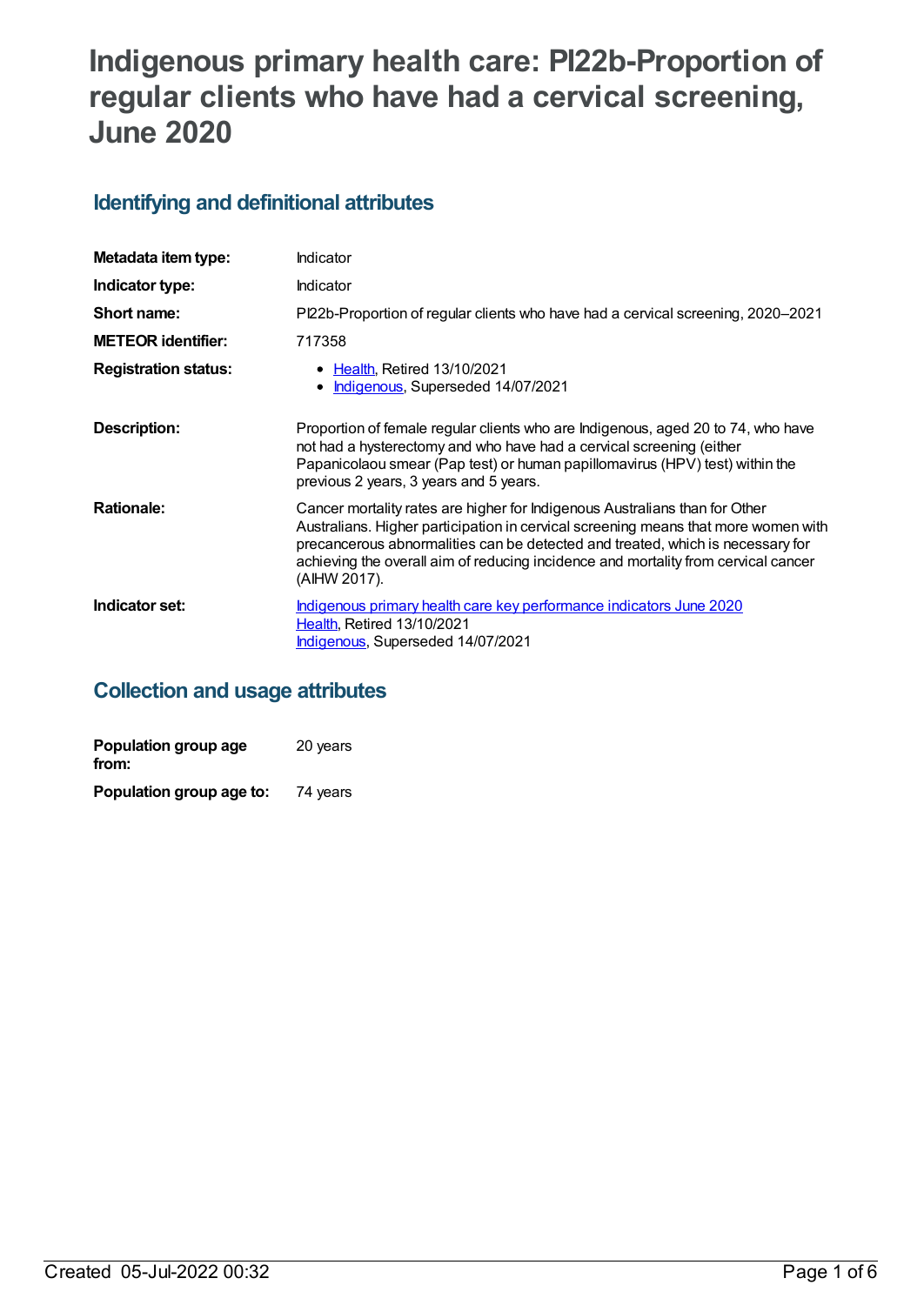# **Indigenous primary health care: PI22b-Proportion of regular clients who have had a cervical screening, June 2020**

## **Identifying and definitional attributes**

| Metadata item type:         | Indicator                                                                                                                                                                                                                                                                                                                                                 |
|-----------------------------|-----------------------------------------------------------------------------------------------------------------------------------------------------------------------------------------------------------------------------------------------------------------------------------------------------------------------------------------------------------|
| Indicator type:             | Indicator                                                                                                                                                                                                                                                                                                                                                 |
| Short name:                 | Pl22b-Proportion of regular clients who have had a cervical screening, 2020–2021                                                                                                                                                                                                                                                                          |
| <b>METEOR identifier:</b>   | 717358                                                                                                                                                                                                                                                                                                                                                    |
| <b>Registration status:</b> | • Health, Retired 13/10/2021<br>Indigenous, Superseded 14/07/2021                                                                                                                                                                                                                                                                                         |
| Description:                | Proportion of female regular clients who are Indigenous, aged 20 to 74, who have<br>not had a hysterectomy and who have had a cervical screening (either<br>Papanicolaou smear (Pap test) or human papillomavirus (HPV) test) within the<br>previous 2 years, 3 years and 5 years.                                                                        |
| <b>Rationale:</b>           | Cancer mortality rates are higher for Indigenous Australians than for Other<br>Australians. Higher participation in cervical screening means that more women with<br>precancerous abnormalities can be detected and treated, which is necessary for<br>achieving the overall aim of reducing incidence and mortality from cervical cancer<br>(AIHW 2017). |
| Indicator set:              | Indigenous primary health care key performance indicators June 2020<br><b>Health, Retired 13/10/2021</b><br>Indigenous, Superseded 14/07/2021                                                                                                                                                                                                             |

## **Collection and usage attributes**

| Population group age<br>from: | 20 years |
|-------------------------------|----------|
| Population group age to:      | 74 years |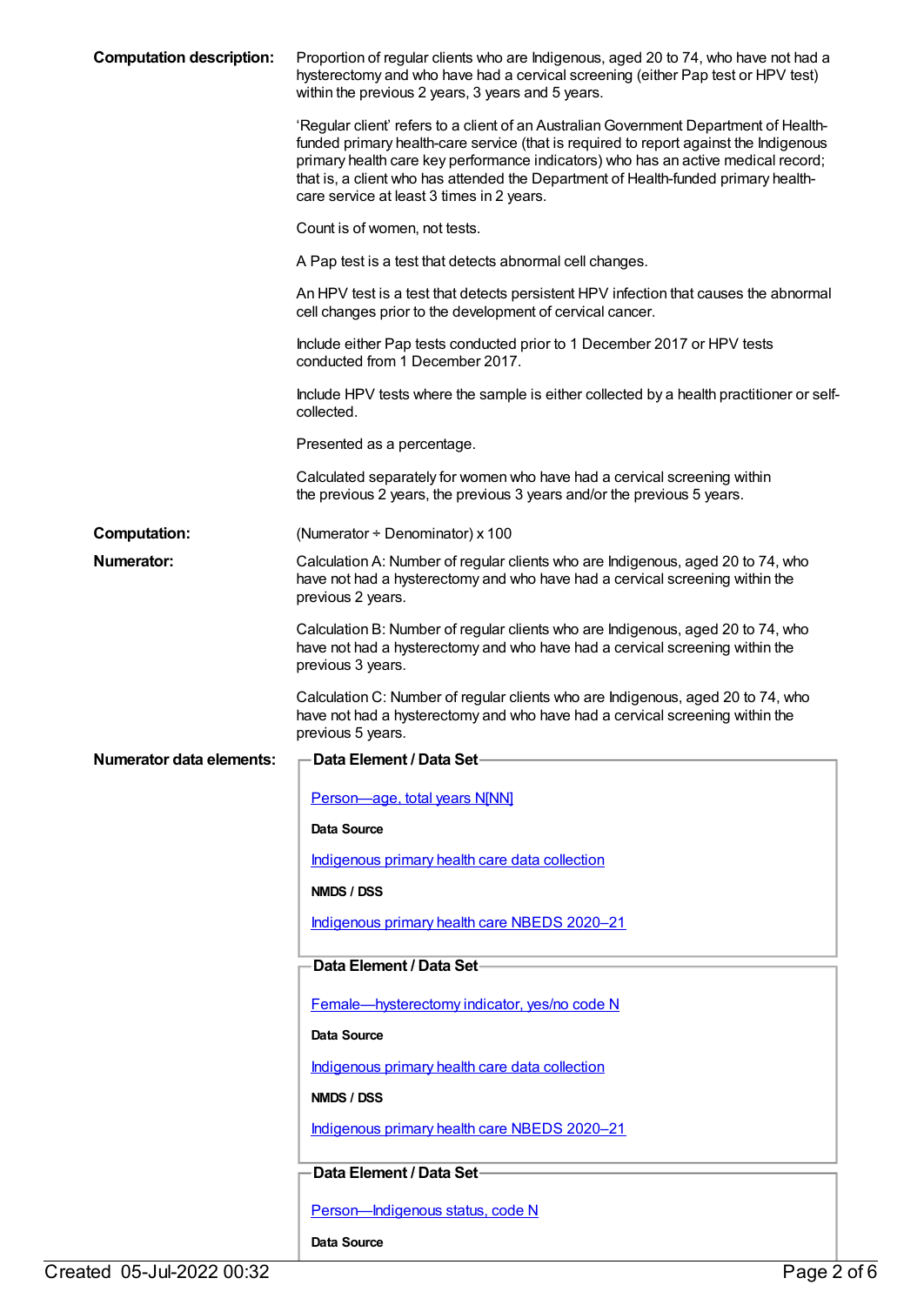| <b>Computation description:</b> | Proportion of regular clients who are Indigenous, aged 20 to 74, who have not had a<br>hysterectomy and who have had a cervical screening (either Pap test or HPV test)<br>within the previous 2 years, 3 years and 5 years.                                                                                                                                                                           |
|---------------------------------|--------------------------------------------------------------------------------------------------------------------------------------------------------------------------------------------------------------------------------------------------------------------------------------------------------------------------------------------------------------------------------------------------------|
|                                 | 'Regular client' refers to a client of an Australian Government Department of Health-<br>funded primary health-care service (that is required to report against the Indigenous<br>primary health care key performance indicators) who has an active medical record;<br>that is, a client who has attended the Department of Health-funded primary health-<br>care service at least 3 times in 2 years. |
|                                 | Count is of women, not tests.                                                                                                                                                                                                                                                                                                                                                                          |
|                                 | A Pap test is a test that detects abnormal cell changes.                                                                                                                                                                                                                                                                                                                                               |
|                                 | An HPV test is a test that detects persistent HPV infection that causes the abnormal<br>cell changes prior to the development of cervical cancer.                                                                                                                                                                                                                                                      |
|                                 | Include either Pap tests conducted prior to 1 December 2017 or HPV tests<br>conducted from 1 December 2017.                                                                                                                                                                                                                                                                                            |
|                                 | Include HPV tests where the sample is either collected by a health practitioner or self-<br>collected.                                                                                                                                                                                                                                                                                                 |
|                                 | Presented as a percentage.                                                                                                                                                                                                                                                                                                                                                                             |
|                                 | Calculated separately for women who have had a cervical screening within<br>the previous 2 years, the previous 3 years and/or the previous 5 years.                                                                                                                                                                                                                                                    |
| <b>Computation:</b>             | (Numerator $\div$ Denominator) x 100                                                                                                                                                                                                                                                                                                                                                                   |
| Numerator:                      | Calculation A: Number of regular clients who are Indigenous, aged 20 to 74, who<br>have not had a hysterectomy and who have had a cervical screening within the<br>previous 2 years.                                                                                                                                                                                                                   |
|                                 | Calculation B: Number of regular clients who are Indigenous, aged 20 to 74, who<br>have not had a hysterectomy and who have had a cervical screening within the<br>previous 3 years.                                                                                                                                                                                                                   |
|                                 | Calculation C: Number of regular clients who are Indigenous, aged 20 to 74, who<br>have not had a hysterectomy and who have had a cervical screening within the<br>previous 5 years.                                                                                                                                                                                                                   |
| <b>Numerator data elements:</b> | Data Element / Data Set-                                                                                                                                                                                                                                                                                                                                                                               |
|                                 | Person-age, total years N[NN]                                                                                                                                                                                                                                                                                                                                                                          |
|                                 | Data Source                                                                                                                                                                                                                                                                                                                                                                                            |
|                                 | Indigenous primary health care data collection                                                                                                                                                                                                                                                                                                                                                         |
|                                 | NMDS / DSS                                                                                                                                                                                                                                                                                                                                                                                             |
|                                 | Indigenous primary health care NBEDS 2020-21                                                                                                                                                                                                                                                                                                                                                           |
|                                 | Data Element / Data Set-                                                                                                                                                                                                                                                                                                                                                                               |
|                                 | Female-hysterectomy indicator, yes/no code N                                                                                                                                                                                                                                                                                                                                                           |
|                                 | <b>Data Source</b>                                                                                                                                                                                                                                                                                                                                                                                     |
|                                 | Indigenous primary health care data collection                                                                                                                                                                                                                                                                                                                                                         |
|                                 | NMDS / DSS                                                                                                                                                                                                                                                                                                                                                                                             |
|                                 | Indigenous primary health care NBEDS 2020-21                                                                                                                                                                                                                                                                                                                                                           |
|                                 | Data Element / Data Set                                                                                                                                                                                                                                                                                                                                                                                |
|                                 | Person-Indigenous status, code N                                                                                                                                                                                                                                                                                                                                                                       |
|                                 | Data Source                                                                                                                                                                                                                                                                                                                                                                                            |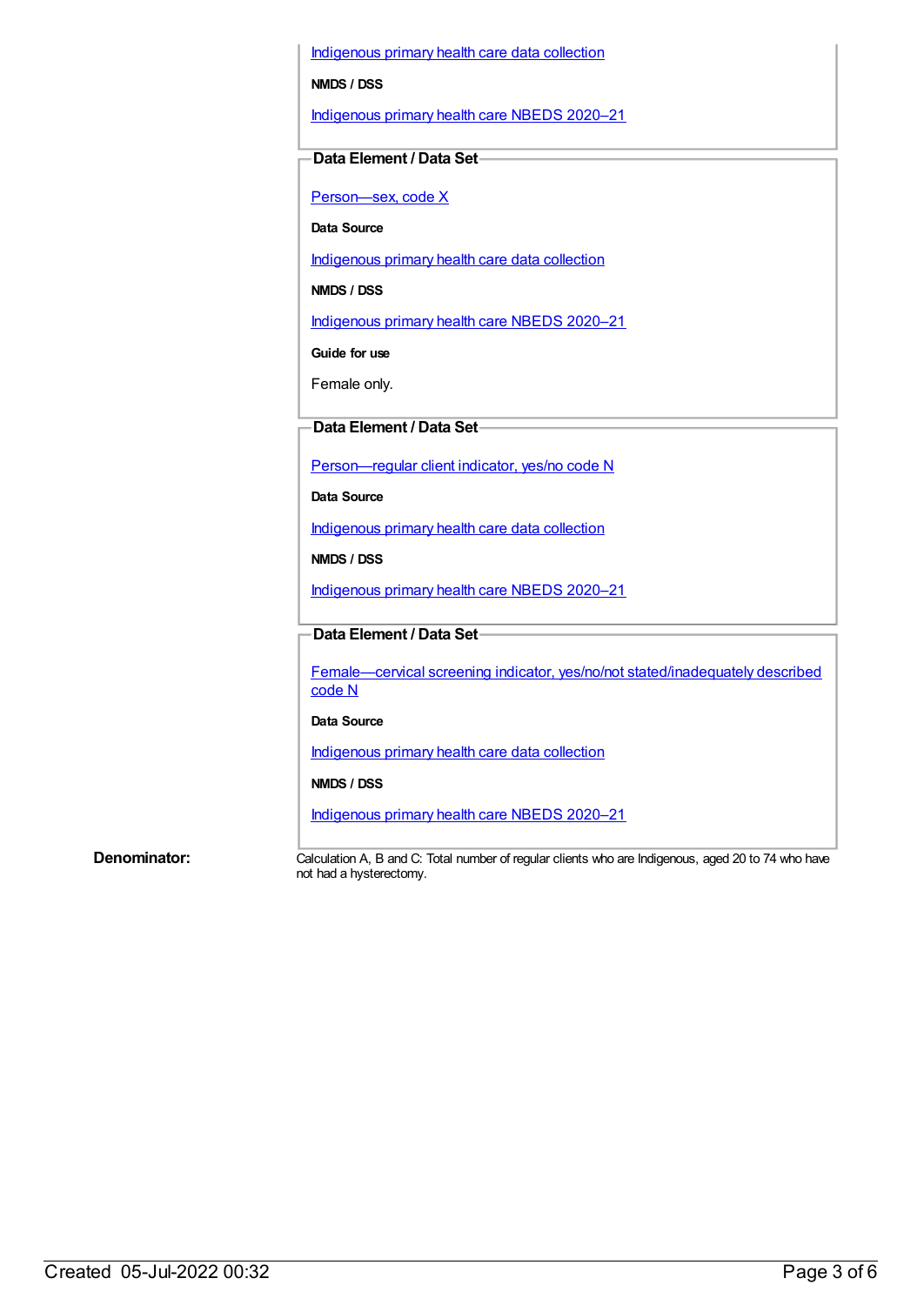[Indigenous](https://meteor.aihw.gov.au/content/430643) primary health care data collection

**NMDS / DSS**

[Indigenous](https://meteor.aihw.gov.au/content/715320) primary health care NBEDS 2020–21

#### **Data Element / Data Set**

[Person—sex,](https://meteor.aihw.gov.au/content/635126) code X

**Data Source**

[Indigenous](https://meteor.aihw.gov.au/content/430643) primary health care data collection

**NMDS / DSS**

[Indigenous](https://meteor.aihw.gov.au/content/715320) primary health care NBEDS 2020–21

**Guide for use**

Female only.

#### **Data Element / Data Set**

[Person—regular](https://meteor.aihw.gov.au/content/686291) client indicator, yes/no code N

**Data Source**

[Indigenous](https://meteor.aihw.gov.au/content/430643) primary health care data collection

**NMDS / DSS**

[Indigenous](https://meteor.aihw.gov.au/content/715320) primary health care NBEDS 2020–21

#### **Data Element / Data Set**

Female—cervical screening indicator, yes/no/not [stated/inadequately](https://meteor.aihw.gov.au/content/719551) described code N

#### **Data Source**

[Indigenous](https://meteor.aihw.gov.au/content/430643) primary health care data collection

#### **NMDS / DSS**

[Indigenous](https://meteor.aihw.gov.au/content/715320) primary health care NBEDS 2020–21

**Denominator:** Calculation A, B and C: Total number of regular clients who are Indigenous, aged 20 to 74 who have not had a hysterectomy.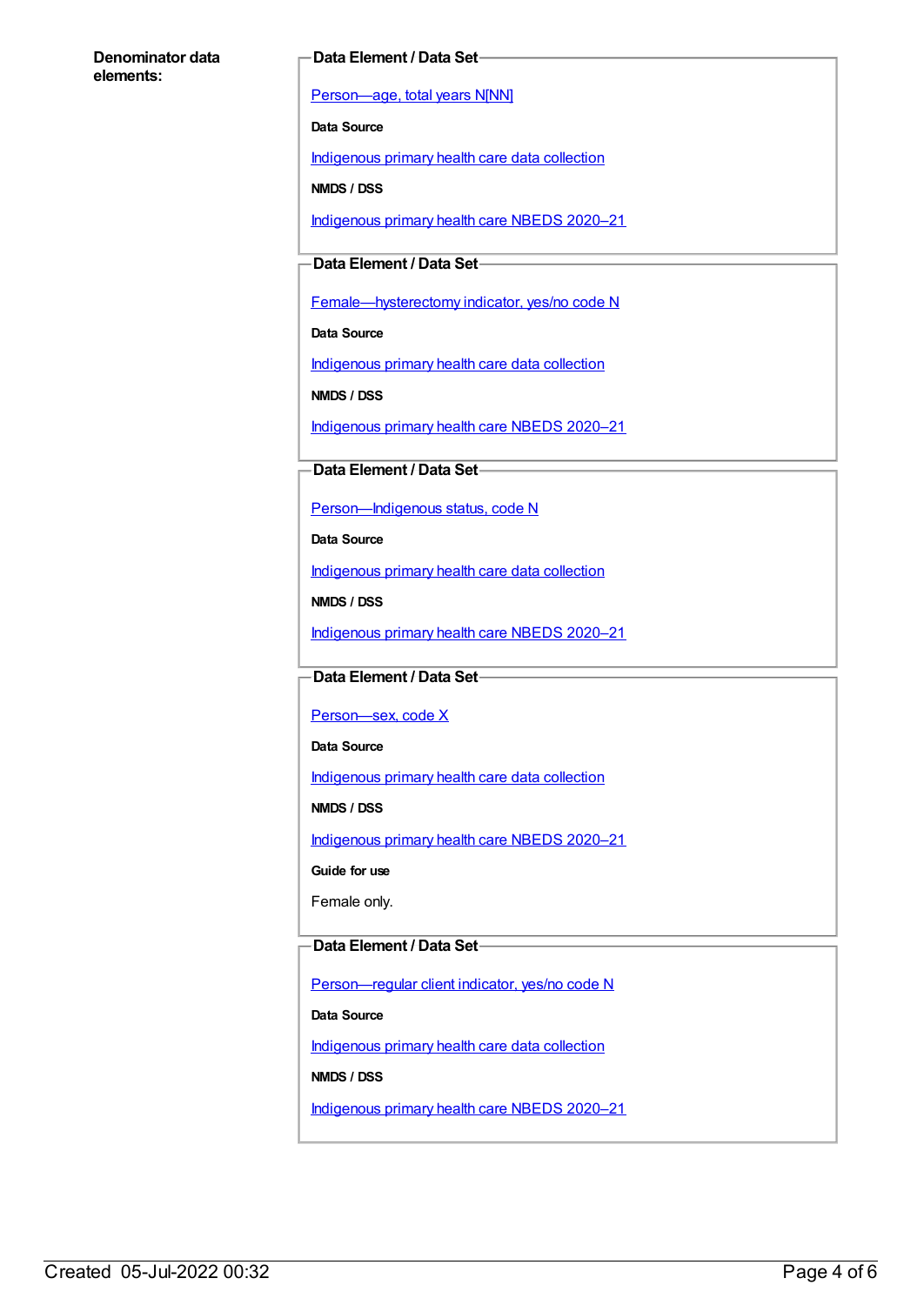#### **Denominator data elements:**

#### **Data Element / Data Set**

[Person—age,](https://meteor.aihw.gov.au/content/303794) total years N[NN]

**Data Source**

[Indigenous](https://meteor.aihw.gov.au/content/430643) primary health care data collection

**NMDS / DSS**

[Indigenous](https://meteor.aihw.gov.au/content/715320) primary health care NBEDS 2020–21

#### **Data Element / Data Set**

[Female—hysterectomy](https://meteor.aihw.gov.au/content/457775) indicator, yes/no code N

**Data Source**

[Indigenous](https://meteor.aihw.gov.au/content/430643) primary health care data collection

**NMDS / DSS**

[Indigenous](https://meteor.aihw.gov.au/content/715320) primary health care NBEDS 2020–21

#### **Data Element / Data Set**

[Person—Indigenous](https://meteor.aihw.gov.au/content/602543) status, code N

**Data Source**

[Indigenous](https://meteor.aihw.gov.au/content/430643) primary health care data collection

**NMDS / DSS**

[Indigenous](https://meteor.aihw.gov.au/content/715320) primary health care NBEDS 2020–21

#### **Data Element / Data Set**

[Person—sex,](https://meteor.aihw.gov.au/content/635126) code X

**Data Source**

[Indigenous](https://meteor.aihw.gov.au/content/430643) primary health care data collection

**NMDS / DSS**

[Indigenous](https://meteor.aihw.gov.au/content/715320) primary health care NBEDS 2020–21

**Guide for use**

Female only.

#### **Data Element / Data Set**

[Person—regular](https://meteor.aihw.gov.au/content/686291) client indicator, yes/no code N

**Data Source**

[Indigenous](https://meteor.aihw.gov.au/content/430643) primary health care data collection

**NMDS / DSS**

[Indigenous](https://meteor.aihw.gov.au/content/715320) primary health care NBEDS 2020–21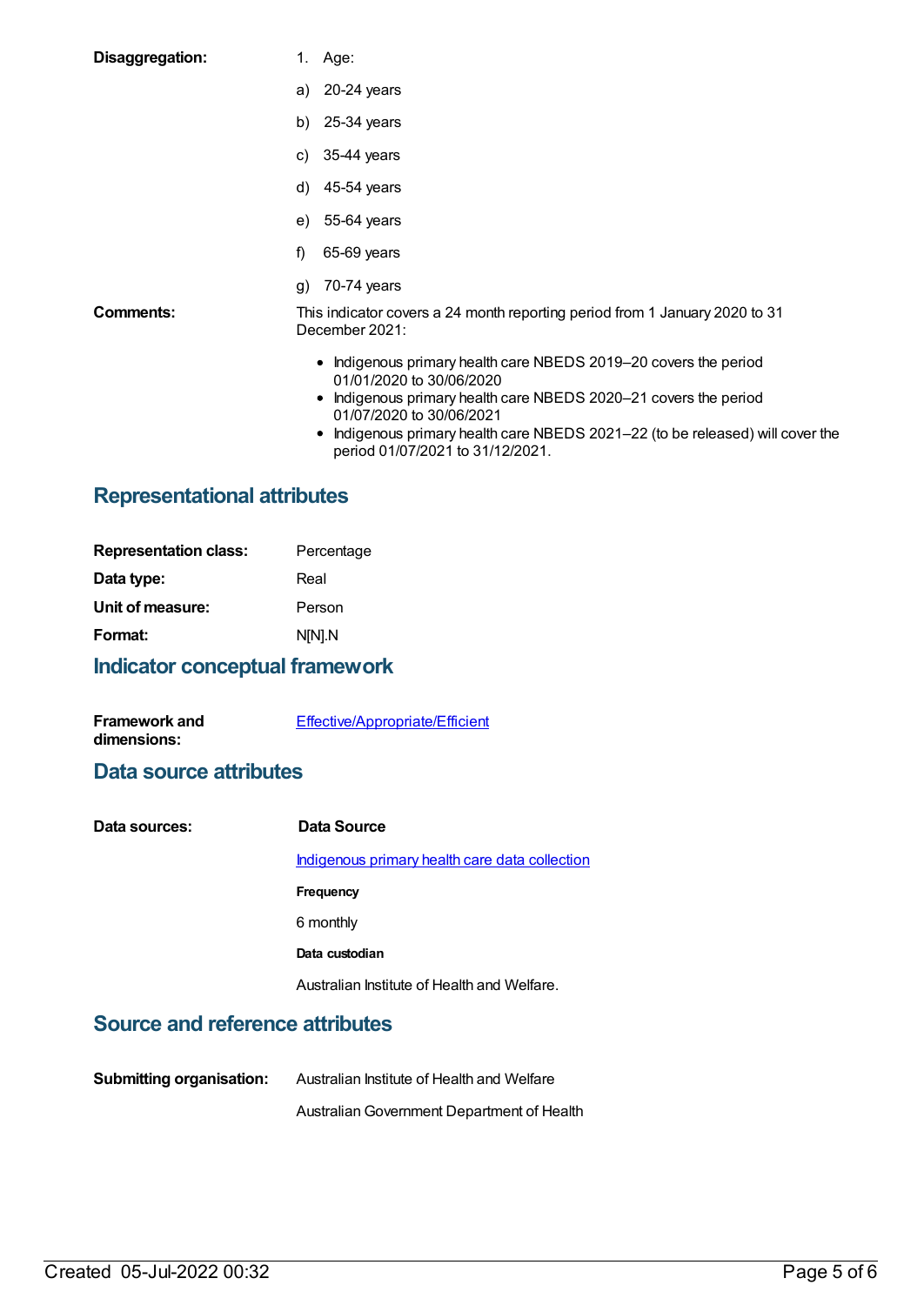| Disaggregation: | 1. Age:                                                                                                                                                         |
|-----------------|-----------------------------------------------------------------------------------------------------------------------------------------------------------------|
|                 | 20-24 years<br>a)                                                                                                                                               |
|                 | 25-34 years<br>b)                                                                                                                                               |
|                 | 35-44 years<br>C)                                                                                                                                               |
|                 | 45-54 years<br>d)                                                                                                                                               |
|                 | e) 55-64 years                                                                                                                                                  |
|                 | 65-69 years<br>f)                                                                                                                                               |
|                 | 70-74 years<br>g)                                                                                                                                               |
| Comments:       | This indicator covers a 24 month reporting period from 1 January 2020 to 31<br>December 2021:                                                                   |
|                 | • Indigenous primary health care NBEDS 2019-20 covers the period<br>01/01/2020 to 30/06/2020<br>a Indianaus primeruheelth eere NDEDS 2020, 21 eeugra the period |

- Indigenous primary health care NBEDS 2020-21 covers the period 01/07/2020 to 30/06/2021
- Indigenous primary health care NBEDS 2021–22 (to be released) will cover the period 01/07/2021 to 31/12/2021.

## **Representational attributes**

| Percentage |
|------------|
|            |
|            |
|            |
|            |

## **Indicator conceptual framework**

| <b>Framework and</b> | Effective/Appropriate/Efficient |
|----------------------|---------------------------------|
| dimensions:          |                                 |

### **Data source attributes**

| Data sources: | Data Source                                    |
|---------------|------------------------------------------------|
|               | Indigenous primary health care data collection |
|               | Frequency                                      |
|               | 6 monthly                                      |
|               | Data custodian                                 |
|               | Australian Institute of Health and Welfare.    |

## **Source and reference attributes**

| <b>Submitting organisation:</b> | Australian Institute of Health and Welfare |
|---------------------------------|--------------------------------------------|
|                                 | Australian Government Department of Health |